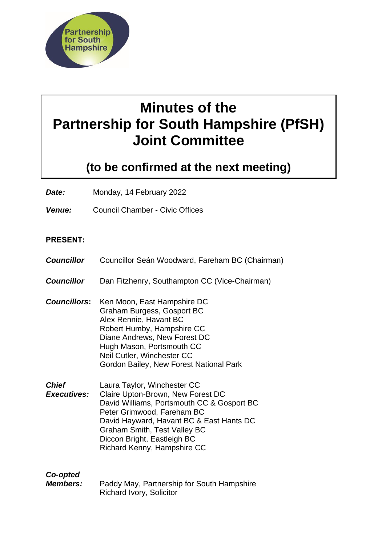

# **Minutes of the Partnership for South Hampshire (PfSH) Joint Committee**

## **(to be confirmed at the next meeting)**

*Date:* Monday, 14 February 2022

*Venue:* Council Chamber - Civic Offices

#### **PRESENT:**

- *Councillor* Councillor Seán Woodward, Fareham BC (Chairman)
- *Councillor* Dan Fitzhenry, Southampton CC (Vice-Chairman)
- *Councillors***:** Ken Moon, East Hampshire DC Graham Burgess, Gosport BC Alex Rennie, Havant BC Robert Humby, Hampshire CC Diane Andrews, New Forest DC Hugh Mason, Portsmouth CC Neil Cutler, Winchester CC Gordon Bailey, New Forest National Park
- *Chief Executives:* Laura Taylor, Winchester CC Claire Upton-Brown, New Forest DC David Williams, Portsmouth CC & Gosport BC Peter Grimwood, Fareham BC David Hayward, Havant BC & East Hants DC Graham Smith, Test Valley BC Diccon Bright, Eastleigh BC Richard Kenny, Hampshire CC

### *Co-opted*

*Members:* Paddy May, Partnership for South Hampshire Richard Ivory, Solicitor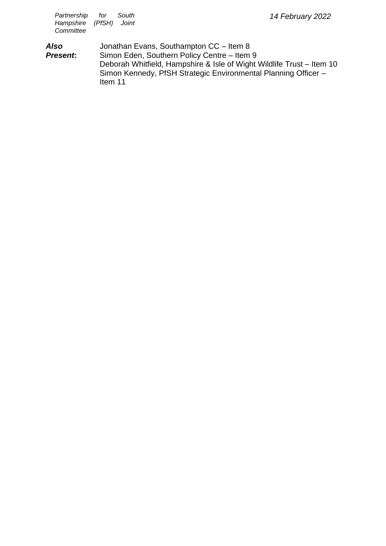*Also Present***:** Jonathan Evans, Southampton CC – Item 8 Simon Eden, Southern Policy Centre – Item 9 Deborah Whitfield, Hampshire & Isle of Wight Wildlife Trust – Item 10 Simon Kennedy, PfSH Strategic Environmental Planning Officer – Item 11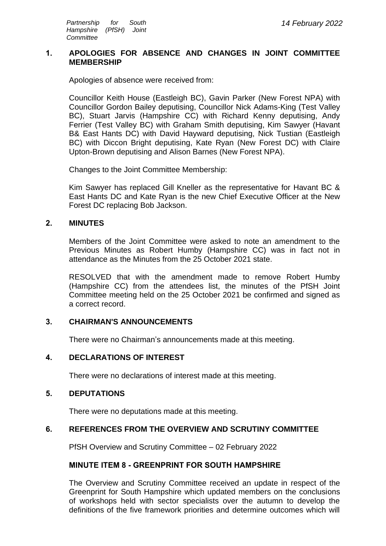#### **1. APOLOGIES FOR ABSENCE AND CHANGES IN JOINT COMMITTEE MEMBERSHIP**

Apologies of absence were received from:

Councillor Keith House (Eastleigh BC), Gavin Parker (New Forest NPA) with Councillor Gordon Bailey deputising, Councillor Nick Adams-King (Test Valley BC), Stuart Jarvis (Hampshire CC) with Richard Kenny deputising, Andy Ferrier (Test Valley BC) with Graham Smith deputising, Kim Sawyer (Havant B& East Hants DC) with David Hayward deputising, Nick Tustian (Eastleigh BC) with Diccon Bright deputising, Kate Ryan (New Forest DC) with Claire Upton-Brown deputising and Alison Barnes (New Forest NPA).

Changes to the Joint Committee Membership:

Kim Sawyer has replaced Gill Kneller as the representative for Havant BC & East Hants DC and Kate Ryan is the new Chief Executive Officer at the New Forest DC replacing Bob Jackson.

#### **2. MINUTES**

Members of the Joint Committee were asked to note an amendment to the Previous Minutes as Robert Humby (Hampshire CC) was in fact not in attendance as the Minutes from the 25 October 2021 state.

RESOLVED that with the amendment made to remove Robert Humby (Hampshire CC) from the attendees list, the minutes of the PfSH Joint Committee meeting held on the 25 October 2021 be confirmed and signed as a correct record.

#### **3. CHAIRMAN'S ANNOUNCEMENTS**

There were no Chairman's announcements made at this meeting.

#### **4. DECLARATIONS OF INTEREST**

There were no declarations of interest made at this meeting.

#### **5. DEPUTATIONS**

There were no deputations made at this meeting.

#### **6. REFERENCES FROM THE OVERVIEW AND SCRUTINY COMMITTEE**

PfSH Overview and Scrutiny Committee – 02 February 2022

#### **MINUTE ITEM 8 - GREENPRINT FOR SOUTH HAMPSHIRE**

The Overview and Scrutiny Committee received an update in respect of the Greenprint for South Hampshire which updated members on the conclusions of workshops held with sector specialists over the autumn to develop the definitions of the five framework priorities and determine outcomes which will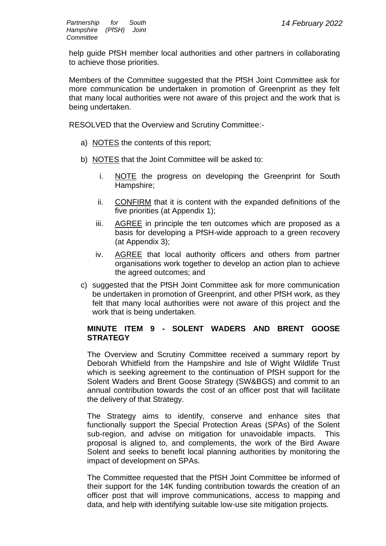help guide PfSH member local authorities and other partners in collaborating to achieve those priorities.

Members of the Committee suggested that the PfSH Joint Committee ask for more communication be undertaken in promotion of Greenprint as they felt that many local authorities were not aware of this project and the work that is being undertaken*.*

RESOLVED that the Overview and Scrutiny Committee:-

- a) NOTES the contents of this report;
- b) NOTES that the Joint Committee will be asked to:
	- i. NOTE the progress on developing the Greenprint for South Hampshire;
	- ii. CONFIRM that it is content with the expanded definitions of the five priorities (at Appendix 1);
	- iii. AGREE in principle the ten outcomes which are proposed as a basis for developing a PfSH-wide approach to a green recovery (at Appendix 3);
	- iv. AGREE that local authority officers and others from partner organisations work together to develop an action plan to achieve the agreed outcomes; and
- c) suggested that the PfSH Joint Committee ask for more communication be undertaken in promotion of Greenprint, and other PfSH work, as they felt that many local authorities were not aware of this project and the work that is being undertaken.

#### **MINUTE ITEM 9 - SOLENT WADERS AND BRENT GOOSE STRATEGY**

The Overview and Scrutiny Committee received a summary report by Deborah Whitfield from the Hampshire and Isle of Wight Wildlife Trust which is seeking agreement to the continuation of PfSH support for the Solent Waders and Brent Goose Strategy (SW&BGS) and commit to an annual contribution towards the cost of an officer post that will facilitate the delivery of that Strategy.

The Strategy aims to identify, conserve and enhance sites that functionally support the Special Protection Areas (SPAs) of the Solent sub-region, and advise on mitigation for unavoidable impacts. This proposal is aligned to, and complements, the work of the Bird Aware Solent and seeks to benefit local planning authorities by monitoring the impact of development on SPAs.

The Committee requested that the PfSH Joint Committee be informed of their support for the 14K funding contribution towards the creation of an officer post that will improve communications, access to mapping and data, and help with identifying suitable low-use site mitigation projects.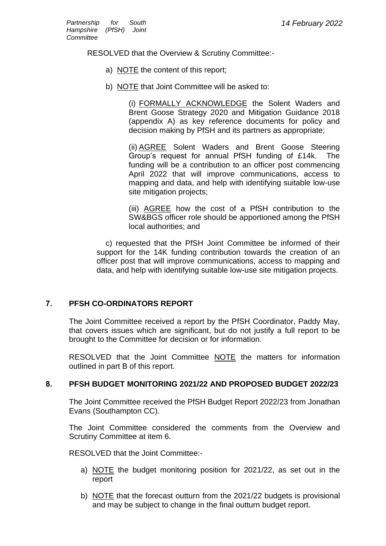RESOLVED that the Overview & Scrutiny Committee:-

- a) NOTE the content of this report;
- b) NOTE that Joint Committee will be asked to:

(i) FORMALLY ACKNOWLEDGE the Solent Waders and Brent Goose Strategy 2020 and Mitigation Guidance 2018 (appendix A) as key reference documents for policy and decision making by PfSH and its partners as appropriate;

(ii) AGREE Solent Waders and Brent Goose Steering Group's request for annual PfSH funding of £14k. The funding will be a contribution to an officer post commencing April 2022 that will improve communications, access to mapping and data, and help with identifying suitable low-use site mitigation projects;

(iii) AGREE how the cost of a PfSH contribution to the SW&BGS officer role should be apportioned among the PfSH local authorities; and

c) requested that the PfSH Joint Committee be informed of their support for the 14K funding contribution towards the creation of an officer post that will improve communications, access to mapping and data, and help with identifying suitable low-use site mitigation projects.

#### **7. PFSH CO-ORDINATORS REPORT**

The Joint Committee received a report by the PfSH Coordinator, Paddy May, that covers issues which are significant, but do not justify a full report to be brought to the Committee for decision or for information.

RESOLVED that the Joint Committee NOTE the matters for information outlined in part B of this report.

#### **8. PFSH BUDGET MONITORING 2021/22 AND PROPOSED BUDGET 2022/23**

The Joint Committee received the PfSH Budget Report 2022/23 from Jonathan Evans (Southampton CC).

The Joint Committee considered the comments from the Overview and Scrutiny Committee at item 6.

RESOLVED that the Joint Committee:-

- a) NOTE the budget monitoring position for 2021/22, as set out in the report
- b) NOTE that the forecast outturn from the 2021/22 budgets is provisional and may be subject to change in the final outturn budget report.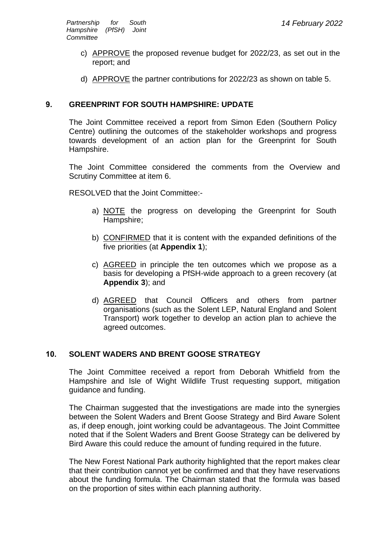- c) APPROVE the proposed revenue budget for 2022/23, as set out in the report; and
- d) APPROVE the partner contributions for 2022/23 as shown on table 5.

#### **9. GREENPRINT FOR SOUTH HAMPSHIRE: UPDATE**

The Joint Committee received a report from Simon Eden (Southern Policy Centre) outlining the outcomes of the stakeholder workshops and progress towards development of an action plan for the Greenprint for South Hampshire.

The Joint Committee considered the comments from the Overview and Scrutiny Committee at item 6.

RESOLVED that the Joint Committee:-

- a) NOTE the progress on developing the Greenprint for South Hampshire;
- b) CONFIRMED that it is content with the expanded definitions of the five priorities (at **Appendix 1**);
- c) AGREED in principle the ten outcomes which we propose as a basis for developing a PfSH-wide approach to a green recovery (at **Appendix 3**); and
- d) AGREED that Council Officers and others from partner organisations (such as the Solent LEP, Natural England and Solent Transport) work together to develop an action plan to achieve the agreed outcomes.

#### **10. SOLENT WADERS AND BRENT GOOSE STRATEGY**

The Joint Committee received a report from Deborah Whitfield from the Hampshire and Isle of Wight Wildlife Trust requesting support, mitigation guidance and funding.

The Chairman suggested that the investigations are made into the synergies between the Solent Waders and Brent Goose Strategy and Bird Aware Solent as, if deep enough, joint working could be advantageous. The Joint Committee noted that if the Solent Waders and Brent Goose Strategy can be delivered by Bird Aware this could reduce the amount of funding required in the future.

The New Forest National Park authority highlighted that the report makes clear that their contribution cannot yet be confirmed and that they have reservations about the funding formula. The Chairman stated that the formula was based on the proportion of sites within each planning authority.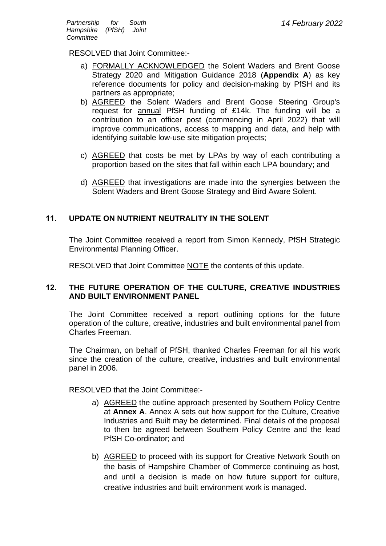RESOLVED that Joint Committee:-

- a) FORMALLY ACKNOWLEDGED the Solent Waders and Brent Goose Strategy 2020 and Mitigation Guidance 2018 (**Appendix A**) as key reference documents for policy and decision-making by PfSH and its partners as appropriate;
- b) AGREED the Solent Waders and Brent Goose Steering Group's request for annual PfSH funding of £14k. The funding will be a contribution to an officer post (commencing in April 2022) that will improve communications, access to mapping and data, and help with identifying suitable low-use site mitigation projects;
- c) AGREED that costs be met by LPAs by way of each contributing a proportion based on the sites that fall within each LPA boundary; and
- d) AGREED that investigations are made into the synergies between the Solent Waders and Brent Goose Strategy and Bird Aware Solent.

#### **11. UPDATE ON NUTRIENT NEUTRALITY IN THE SOLENT**

The Joint Committee received a report from Simon Kennedy, PfSH Strategic Environmental Planning Officer.

RESOLVED that Joint Committee NOTE the contents of this update.

#### **12. THE FUTURE OPERATION OF THE CULTURE, CREATIVE INDUSTRIES AND BUILT ENVIRONMENT PANEL**

The Joint Committee received a report outlining options for the future operation of the culture, creative, industries and built environmental panel from Charles Freeman.

The Chairman, on behalf of PfSH, thanked Charles Freeman for all his work since the creation of the culture, creative, industries and built environmental panel in 2006.

RESOLVED that the Joint Committee:-

- a) AGREED the outline approach presented by Southern Policy Centre at **Annex A**. Annex A sets out how support for the Culture, Creative Industries and Built may be determined. Final details of the proposal to then be agreed between Southern Policy Centre and the lead PfSH Co-ordinator; and
- b) AGREED to proceed with its support for Creative Network South on the basis of Hampshire Chamber of Commerce continuing as host, and until a decision is made on how future support for culture, creative industries and built environment work is managed.